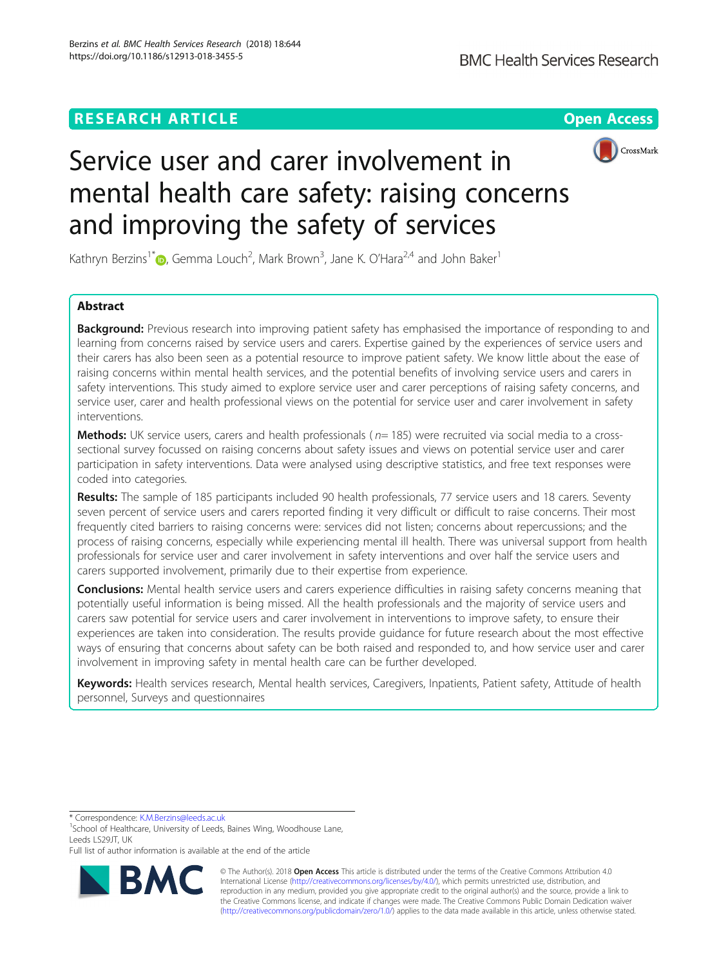# **RESEARCH ARTICLE Example 2018 12:30 THE Open Access**



# Service user and carer involvement in mental health care safety: raising concerns and improving the safety of services

Kathryn Berzins<sup>1[\\*](http://orcid.org/0000-0001-5002-5212)</sup> $\bullet$ , Gemma Louch<sup>2</sup>, Mark Brown<sup>3</sup>, Jane K. O'Hara<sup>2,4</sup> and John Baker<sup>1</sup>

## Abstract

Background: Previous research into improving patient safety has emphasised the importance of responding to and learning from concerns raised by service users and carers. Expertise gained by the experiences of service users and their carers has also been seen as a potential resource to improve patient safety. We know little about the ease of raising concerns within mental health services, and the potential benefits of involving service users and carers in safety interventions. This study aimed to explore service user and carer perceptions of raising safety concerns, and service user, carer and health professional views on the potential for service user and carer involvement in safety interventions.

**Methods:** UK service users, carers and health professionals ( $n=185$ ) were recruited via social media to a crosssectional survey focussed on raising concerns about safety issues and views on potential service user and carer participation in safety interventions. Data were analysed using descriptive statistics, and free text responses were coded into categories.

Results: The sample of 185 participants included 90 health professionals, 77 service users and 18 carers. Seventy seven percent of service users and carers reported finding it very difficult or difficult to raise concerns. Their most frequently cited barriers to raising concerns were: services did not listen; concerns about repercussions; and the process of raising concerns, especially while experiencing mental ill health. There was universal support from health professionals for service user and carer involvement in safety interventions and over half the service users and carers supported involvement, primarily due to their expertise from experience.

**Conclusions:** Mental health service users and carers experience difficulties in raising safety concerns meaning that potentially useful information is being missed. All the health professionals and the majority of service users and carers saw potential for service users and carer involvement in interventions to improve safety, to ensure their experiences are taken into consideration. The results provide guidance for future research about the most effective ways of ensuring that concerns about safety can be both raised and responded to, and how service user and carer involvement in improving safety in mental health care can be further developed.

Keywords: Health services research, Mental health services, Caregivers, Inpatients, Patient safety, Attitude of health personnel, Surveys and questionnaires

\* Correspondence: [K.M.Berzins@leeds.ac.uk](mailto:K.M.Berzins@leeds.ac.uk) <sup>1</sup>

<sup>1</sup>School of Healthcare, University of Leeds, Baines Wing, Woodhouse Lane, Leeds LS29JT, UK

Full list of author information is available at the end of the article



© The Author(s). 2018 Open Access This article is distributed under the terms of the Creative Commons Attribution 4.0 International License [\(http://creativecommons.org/licenses/by/4.0/](http://creativecommons.org/licenses/by/4.0/)), which permits unrestricted use, distribution, and reproduction in any medium, provided you give appropriate credit to the original author(s) and the source, provide a link to the Creative Commons license, and indicate if changes were made. The Creative Commons Public Domain Dedication waiver [\(http://creativecommons.org/publicdomain/zero/1.0/](http://creativecommons.org/publicdomain/zero/1.0/)) applies to the data made available in this article, unless otherwise stated.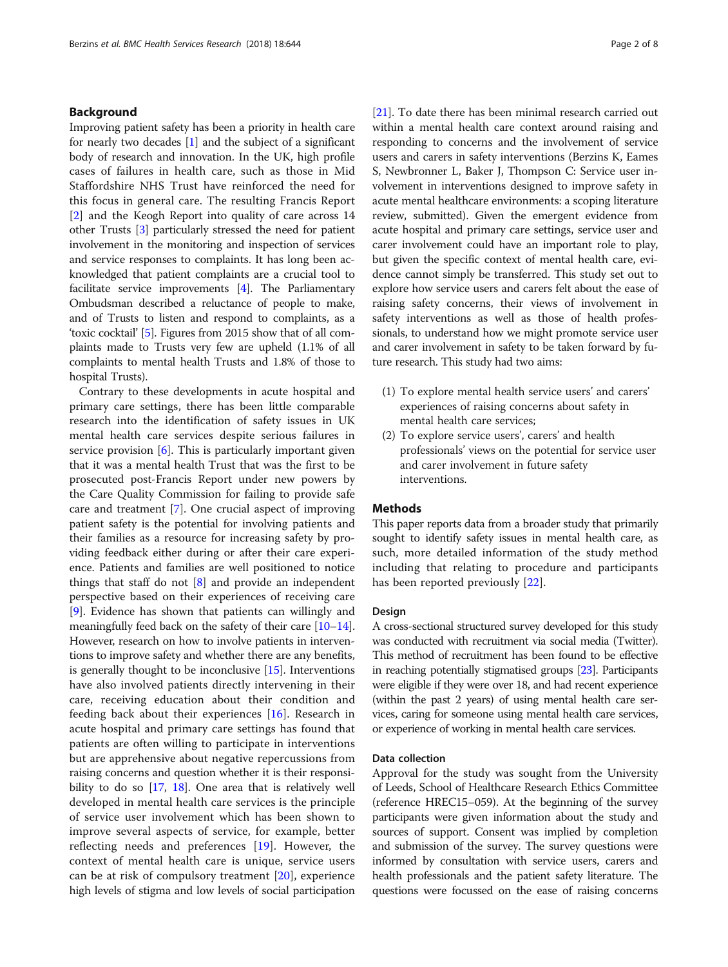## Background

Improving patient safety has been a priority in health care for nearly two decades [[1](#page-7-0)] and the subject of a significant body of research and innovation. In the UK, high profile cases of failures in health care, such as those in Mid Staffordshire NHS Trust have reinforced the need for this focus in general care. The resulting Francis Report [[2\]](#page-7-0) and the Keogh Report into quality of care across 14 other Trusts [[3\]](#page-7-0) particularly stressed the need for patient involvement in the monitoring and inspection of services and service responses to complaints. It has long been acknowledged that patient complaints are a crucial tool to facilitate service improvements [\[4\]](#page-7-0). The Parliamentary Ombudsman described a reluctance of people to make, and of Trusts to listen and respond to complaints, as a 'toxic cocktail' [\[5](#page-7-0)]. Figures from 2015 show that of all complaints made to Trusts very few are upheld (1.1% of all complaints to mental health Trusts and 1.8% of those to hospital Trusts).

Contrary to these developments in acute hospital and primary care settings, there has been little comparable research into the identification of safety issues in UK mental health care services despite serious failures in service provision  $[6]$  $[6]$ . This is particularly important given that it was a mental health Trust that was the first to be prosecuted post-Francis Report under new powers by the Care Quality Commission for failing to provide safe care and treatment [\[7](#page-7-0)]. One crucial aspect of improving patient safety is the potential for involving patients and their families as a resource for increasing safety by providing feedback either during or after their care experience. Patients and families are well positioned to notice things that staff do not  $[8]$  $[8]$  and provide an independent perspective based on their experiences of receiving care [[9\]](#page-7-0). Evidence has shown that patients can willingly and meaningfully feed back on the safety of their care [\[10](#page-7-0)–[14](#page-7-0)]. However, research on how to involve patients in interventions to improve safety and whether there are any benefits, is generally thought to be inconclusive [\[15\]](#page-7-0). Interventions have also involved patients directly intervening in their care, receiving education about their condition and feeding back about their experiences [[16\]](#page-7-0). Research in acute hospital and primary care settings has found that patients are often willing to participate in interventions but are apprehensive about negative repercussions from raising concerns and question whether it is their responsibility to do so [[17](#page-7-0), [18\]](#page-7-0). One area that is relatively well developed in mental health care services is the principle of service user involvement which has been shown to improve several aspects of service, for example, better reflecting needs and preferences [[19\]](#page-7-0). However, the context of mental health care is unique, service users can be at risk of compulsory treatment [\[20](#page-7-0)], experience high levels of stigma and low levels of social participation [[21](#page-7-0)]. To date there has been minimal research carried out within a mental health care context around raising and responding to concerns and the involvement of service users and carers in safety interventions (Berzins K, Eames S, Newbronner L, Baker J, Thompson C: Service user involvement in interventions designed to improve safety in acute mental healthcare environments: a scoping literature review, submitted). Given the emergent evidence from acute hospital and primary care settings, service user and carer involvement could have an important role to play, but given the specific context of mental health care, evidence cannot simply be transferred. This study set out to explore how service users and carers felt about the ease of raising safety concerns, their views of involvement in safety interventions as well as those of health professionals, to understand how we might promote service user and carer involvement in safety to be taken forward by future research. This study had two aims:

- (1) To explore mental health service users' and carers' experiences of raising concerns about safety in mental health care services;
- (2) To explore service users', carers' and health professionals' views on the potential for service user and carer involvement in future safety interventions.

## Methods

This paper reports data from a broader study that primarily sought to identify safety issues in mental health care, as such, more detailed information of the study method including that relating to procedure and participants has been reported previously [\[22](#page-7-0)].

## Design

A cross-sectional structured survey developed for this study was conducted with recruitment via social media (Twitter). This method of recruitment has been found to be effective in reaching potentially stigmatised groups [\[23\]](#page-7-0). Participants were eligible if they were over 18, and had recent experience (within the past 2 years) of using mental health care services, caring for someone using mental health care services, or experience of working in mental health care services.

## Data collection

Approval for the study was sought from the University of Leeds, School of Healthcare Research Ethics Committee (reference HREC15–059). At the beginning of the survey participants were given information about the study and sources of support. Consent was implied by completion and submission of the survey. The survey questions were informed by consultation with service users, carers and health professionals and the patient safety literature. The questions were focussed on the ease of raising concerns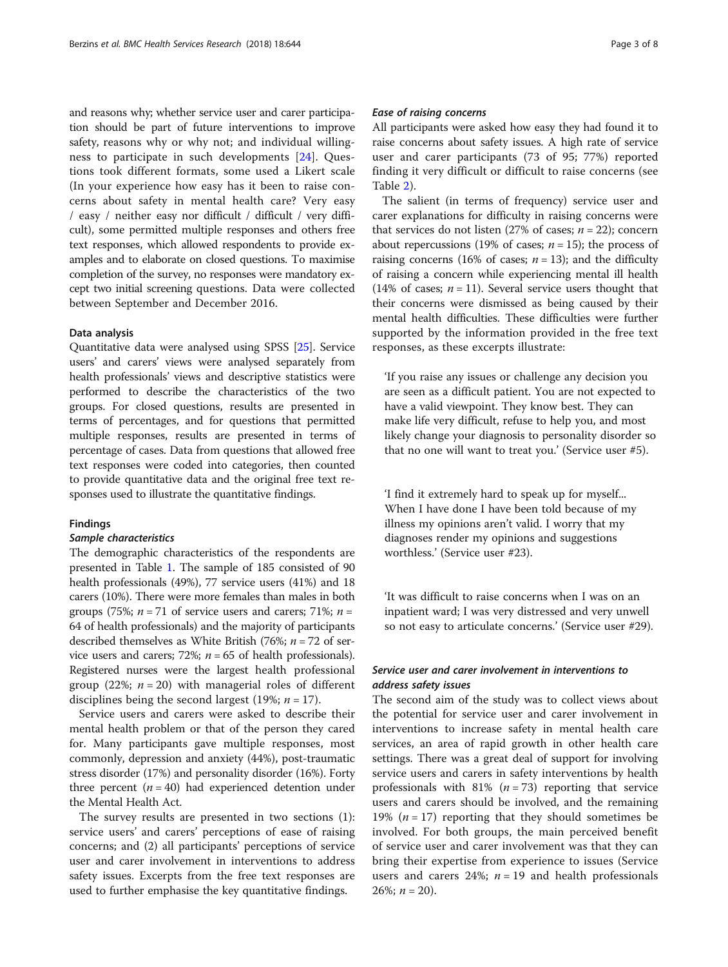and reasons why; whether service user and carer participation should be part of future interventions to improve safety, reasons why or why not; and individual willingness to participate in such developments [[24\]](#page-7-0). Questions took different formats, some used a Likert scale (In your experience how easy has it been to raise concerns about safety in mental health care? Very easy / easy / neither easy nor difficult / difficult / very difficult), some permitted multiple responses and others free text responses, which allowed respondents to provide examples and to elaborate on closed questions. To maximise completion of the survey, no responses were mandatory except two initial screening questions. Data were collected between September and December 2016.

## Data analysis

Quantitative data were analysed using SPSS [\[25\]](#page-7-0). Service users' and carers' views were analysed separately from health professionals' views and descriptive statistics were performed to describe the characteristics of the two groups. For closed questions, results are presented in terms of percentages, and for questions that permitted multiple responses, results are presented in terms of percentage of cases. Data from questions that allowed free text responses were coded into categories, then counted to provide quantitative data and the original free text responses used to illustrate the quantitative findings.

## Findings

## Sample characteristics

The demographic characteristics of the respondents are presented in Table [1](#page-3-0). The sample of 185 consisted of 90 health professionals (49%), 77 service users (41%) and 18 carers (10%). There were more females than males in both groups (75%;  $n = 71$  of service users and carers; 71%;  $n =$ 64 of health professionals) and the majority of participants described themselves as White British (76%;  $n = 72$  of service users and carers; 72%;  $n = 65$  of health professionals). Registered nurses were the largest health professional group (22%;  $n = 20$ ) with managerial roles of different disciplines being the second largest (19%;  $n = 17$ ).

Service users and carers were asked to describe their mental health problem or that of the person they cared for. Many participants gave multiple responses, most commonly, depression and anxiety (44%), post-traumatic stress disorder (17%) and personality disorder (16%). Forty three percent ( $n = 40$ ) had experienced detention under the Mental Health Act.

The survey results are presented in two sections (1): service users' and carers' perceptions of ease of raising concerns; and (2) all participants' perceptions of service user and carer involvement in interventions to address safety issues. Excerpts from the free text responses are used to further emphasise the key quantitative findings.

## Ease of raising concerns

All participants were asked how easy they had found it to raise concerns about safety issues. A high rate of service user and carer participants (73 of 95; 77%) reported finding it very difficult or difficult to raise concerns (see Table [2](#page-3-0)).

The salient (in terms of frequency) service user and carer explanations for difficulty in raising concerns were that services do not listen (27% of cases;  $n = 22$ ); concern about repercussions (19% of cases;  $n = 15$ ); the process of raising concerns (16% of cases;  $n = 13$ ); and the difficulty of raising a concern while experiencing mental ill health (14% of cases;  $n = 11$ ). Several service users thought that their concerns were dismissed as being caused by their mental health difficulties. These difficulties were further supported by the information provided in the free text responses, as these excerpts illustrate:

'If you raise any issues or challenge any decision you are seen as a difficult patient. You are not expected to have a valid viewpoint. They know best. They can make life very difficult, refuse to help you, and most likely change your diagnosis to personality disorder so that no one will want to treat you.' (Service user #5).

'I find it extremely hard to speak up for myself... When I have done I have been told because of my illness my opinions aren't valid. I worry that my diagnoses render my opinions and suggestions worthless.' (Service user #23).

'It was difficult to raise concerns when I was on an inpatient ward; I was very distressed and very unwell so not easy to articulate concerns.' (Service user #29).

## Service user and carer involvement in interventions to address safety issues

The second aim of the study was to collect views about the potential for service user and carer involvement in interventions to increase safety in mental health care services, an area of rapid growth in other health care settings. There was a great deal of support for involving service users and carers in safety interventions by health professionals with 81% ( $n = 73$ ) reporting that service users and carers should be involved, and the remaining 19% ( $n = 17$ ) reporting that they should sometimes be involved. For both groups, the main perceived benefit of service user and carer involvement was that they can bring their expertise from experience to issues (Service users and carers 24%;  $n = 19$  and health professionals 26%;  $n = 20$ ).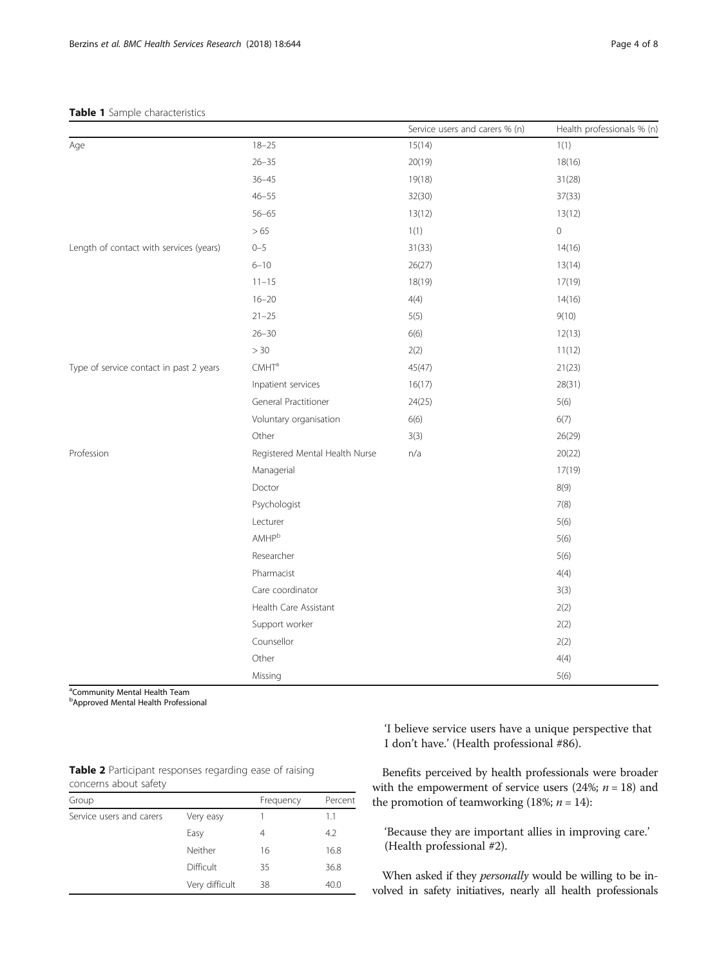## <span id="page-3-0"></span>Table 1 Sample characteristics

|                                         |                                | Service users and carers % (n) | Health professionals % (n) |
|-----------------------------------------|--------------------------------|--------------------------------|----------------------------|
| Age                                     | $18 - 25$                      | 15(14)                         | 1(1)                       |
|                                         | $26 - 35$                      | 20(19)                         | 18(16)                     |
|                                         | $36 - 45$                      | 19(18)                         | 31(28)                     |
|                                         | $46 - 55$                      | 32(30)                         | 37(33)                     |
|                                         | $56 - 65$                      | 13(12)                         | 13(12)                     |
|                                         | $>65$                          | 1(1)                           | $\mathbf 0$                |
| Length of contact with services (years) | $0 - 5$                        | 31(33)                         | 14(16)                     |
|                                         | $6 - 10$                       | 26(27)                         | 13(14)                     |
|                                         | $11 - 15$                      | 18(19)                         | 17(19)                     |
|                                         | $16 - 20$                      | 4(4)                           | 14(16)                     |
|                                         | $21 - 25$                      | 5(5)                           | 9(10)                      |
|                                         | $26 - 30$                      | 6(6)                           | 12(13)                     |
|                                         | > 30                           | 2(2)                           | 11(12)                     |
| Type of service contact in past 2 years | $CMHT^a$                       | 45(47)                         | 21(23)                     |
|                                         | Inpatient services             | 16(17)                         | 28(31)                     |
|                                         | General Practitioner           | 24(25)                         | 5(6)                       |
|                                         | Voluntary organisation         | 6(6)                           | 6(7)                       |
|                                         | Other                          | 3(3)                           | 26(29)                     |
| Profession                              | Registered Mental Health Nurse | n/a                            | 20(22)                     |
|                                         | Managerial                     |                                | 17(19)                     |
|                                         | Doctor                         |                                | 8(9)                       |
|                                         | Psychologist                   |                                | 7(8)                       |
|                                         | Lecturer                       |                                | 5(6)                       |
|                                         | <b>AMHP</b> <sup>b</sup>       |                                | 5(6)                       |
|                                         | Researcher                     |                                | 5(6)                       |
|                                         | Pharmacist                     |                                | 4(4)                       |
|                                         | Care coordinator               |                                | 3(3)                       |
|                                         | Health Care Assistant          |                                | 2(2)                       |
|                                         | Support worker                 |                                | 2(2)                       |
|                                         | Counsellor                     |                                | 2(2)                       |
|                                         | Other                          |                                | 4(4)                       |
|                                         | Missing                        |                                | 5(6)                       |

<sup>a</sup>Community Mental Health Team

**b**Approved Mental Health Professional

| Table 2 Participant responses regarding ease of raising |  |  |
|---------------------------------------------------------|--|--|
| concerns about safety                                   |  |  |

| Group                    |                | Frequency | Percent |
|--------------------------|----------------|-----------|---------|
| Service users and carers | Very easy      |           | 1.1     |
|                          | Easy           | 4         | 4.2     |
|                          | Neither        | 16        | 16.8    |
|                          | Difficult      | 35        | 36.8    |
|                          | Very difficult | 38        | 40.0    |

'I believe service users have a unique perspective that I don't have.' (Health professional #86).

Benefits perceived by health professionals were broader with the empowerment of service users (24%;  $n = 18$ ) and the promotion of teamworking (18%;  $n = 14$ ):

'Because they are important allies in improving care.' (Health professional #2).

When asked if they *personally* would be willing to be involved in safety initiatives, nearly all health professionals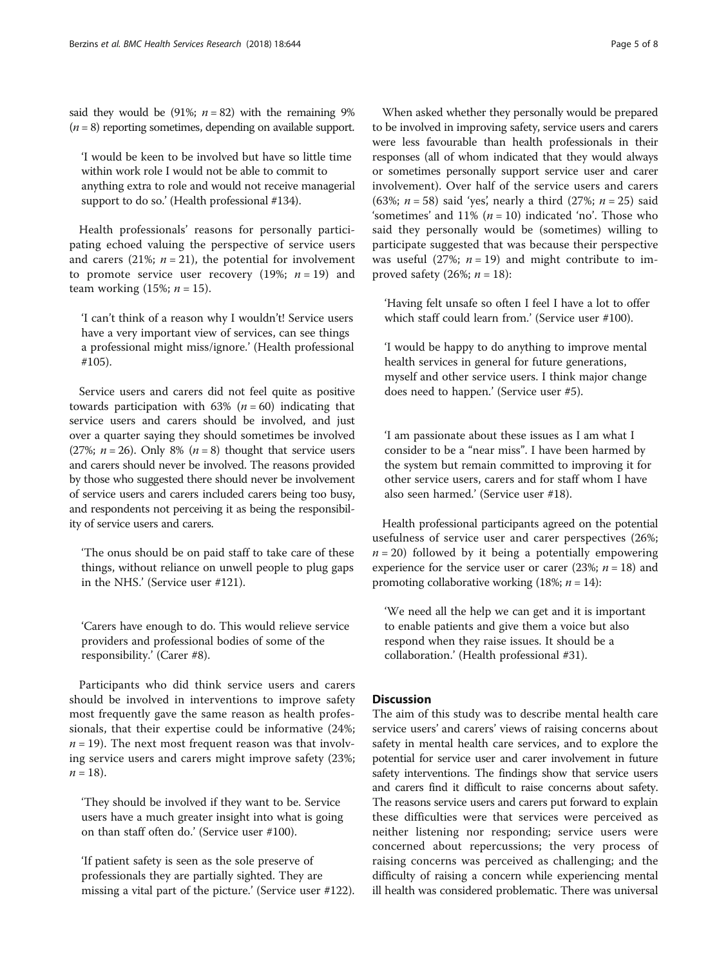said they would be (91%;  $n = 82$ ) with the remaining 9%  $(n = 8)$  reporting sometimes, depending on available support.

'I would be keen to be involved but have so little time within work role I would not be able to commit to anything extra to role and would not receive managerial support to do so.' (Health professional #134).

Health professionals' reasons for personally participating echoed valuing the perspective of service users and carers (21%;  $n = 21$ ), the potential for involvement to promote service user recovery (19%;  $n = 19$ ) and team working  $(15\%; n = 15)$ .

'I can't think of a reason why I wouldn't! Service users have a very important view of services, can see things a professional might miss/ignore.' (Health professional #105).

Service users and carers did not feel quite as positive towards participation with 63% ( $n = 60$ ) indicating that service users and carers should be involved, and just over a quarter saying they should sometimes be involved (27%;  $n = 26$ ). Only 8% ( $n = 8$ ) thought that service users and carers should never be involved. The reasons provided by those who suggested there should never be involvement of service users and carers included carers being too busy, and respondents not perceiving it as being the responsibility of service users and carers.

'The onus should be on paid staff to take care of these things, without reliance on unwell people to plug gaps in the NHS.' (Service user #121).

'Carers have enough to do. This would relieve service providers and professional bodies of some of the responsibility.' (Carer #8).

Participants who did think service users and carers should be involved in interventions to improve safety most frequently gave the same reason as health professionals, that their expertise could be informative (24%;  $n = 19$ ). The next most frequent reason was that involving service users and carers might improve safety (23%;  $n = 18$ ).

'They should be involved if they want to be. Service users have a much greater insight into what is going on than staff often do.' (Service user #100).

'If patient safety is seen as the sole preserve of professionals they are partially sighted. They are missing a vital part of the picture.' (Service user #122).

When asked whether they personally would be prepared to be involved in improving safety, service users and carers were less favourable than health professionals in their responses (all of whom indicated that they would always or sometimes personally support service user and carer involvement). Over half of the service users and carers (63%;  $n = 58$ ) said 'yes', nearly a third (27%;  $n = 25$ ) said 'sometimes' and  $11\%$  ( $n = 10$ ) indicated 'no'. Those who said they personally would be (sometimes) willing to participate suggested that was because their perspective was useful (27%;  $n = 19$ ) and might contribute to improved safety (26%;  $n = 18$ ):

'Having felt unsafe so often I feel I have a lot to offer which staff could learn from.' (Service user #100).

'I would be happy to do anything to improve mental health services in general for future generations, myself and other service users. I think major change does need to happen.' (Service user #5).

'I am passionate about these issues as I am what I consider to be a "near miss". I have been harmed by the system but remain committed to improving it for other service users, carers and for staff whom I have also seen harmed.' (Service user #18).

Health professional participants agreed on the potential usefulness of service user and carer perspectives (26%;  $n = 20$ ) followed by it being a potentially empowering experience for the service user or carer (23%;  $n = 18$ ) and promoting collaborative working  $(18\%; n = 14)$ :

'We need all the help we can get and it is important to enable patients and give them a voice but also respond when they raise issues. It should be a collaboration.' (Health professional #31).

## **Discussion**

The aim of this study was to describe mental health care service users' and carers' views of raising concerns about safety in mental health care services, and to explore the potential for service user and carer involvement in future safety interventions. The findings show that service users and carers find it difficult to raise concerns about safety. The reasons service users and carers put forward to explain these difficulties were that services were perceived as neither listening nor responding; service users were concerned about repercussions; the very process of raising concerns was perceived as challenging; and the difficulty of raising a concern while experiencing mental ill health was considered problematic. There was universal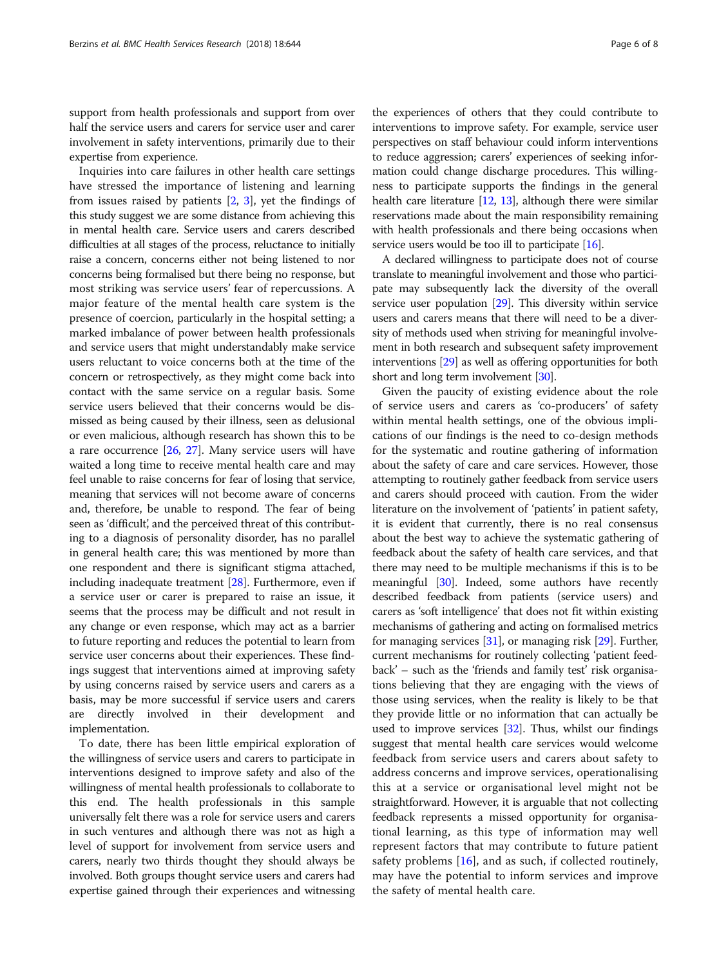support from health professionals and support from over half the service users and carers for service user and carer involvement in safety interventions, primarily due to their expertise from experience.

Inquiries into care failures in other health care settings have stressed the importance of listening and learning from issues raised by patients [[2](#page-7-0), [3](#page-7-0)], yet the findings of this study suggest we are some distance from achieving this in mental health care. Service users and carers described difficulties at all stages of the process, reluctance to initially raise a concern, concerns either not being listened to nor concerns being formalised but there being no response, but most striking was service users' fear of repercussions. A major feature of the mental health care system is the presence of coercion, particularly in the hospital setting; a marked imbalance of power between health professionals and service users that might understandably make service users reluctant to voice concerns both at the time of the concern or retrospectively, as they might come back into contact with the same service on a regular basis. Some service users believed that their concerns would be dismissed as being caused by their illness, seen as delusional or even malicious, although research has shown this to be a rare occurrence [\[26](#page-7-0), [27\]](#page-7-0). Many service users will have waited a long time to receive mental health care and may feel unable to raise concerns for fear of losing that service, meaning that services will not become aware of concerns and, therefore, be unable to respond. The fear of being seen as 'difficult', and the perceived threat of this contributing to a diagnosis of personality disorder, has no parallel in general health care; this was mentioned by more than one respondent and there is significant stigma attached, including inadequate treatment [\[28\]](#page-7-0). Furthermore, even if a service user or carer is prepared to raise an issue, it seems that the process may be difficult and not result in any change or even response, which may act as a barrier to future reporting and reduces the potential to learn from service user concerns about their experiences. These findings suggest that interventions aimed at improving safety by using concerns raised by service users and carers as a basis, may be more successful if service users and carers are directly involved in their development and implementation.

To date, there has been little empirical exploration of the willingness of service users and carers to participate in interventions designed to improve safety and also of the willingness of mental health professionals to collaborate to this end. The health professionals in this sample universally felt there was a role for service users and carers in such ventures and although there was not as high a level of support for involvement from service users and carers, nearly two thirds thought they should always be involved. Both groups thought service users and carers had expertise gained through their experiences and witnessing

the experiences of others that they could contribute to interventions to improve safety. For example, service user perspectives on staff behaviour could inform interventions to reduce aggression; carers' experiences of seeking information could change discharge procedures. This willingness to participate supports the findings in the general health care literature [[12](#page-7-0), [13](#page-7-0)], although there were similar reservations made about the main responsibility remaining with health professionals and there being occasions when service users would be too ill to participate [[16](#page-7-0)].

A declared willingness to participate does not of course translate to meaningful involvement and those who participate may subsequently lack the diversity of the overall service user population [[29](#page-7-0)]. This diversity within service users and carers means that there will need to be a diversity of methods used when striving for meaningful involvement in both research and subsequent safety improvement interventions [\[29](#page-7-0)] as well as offering opportunities for both short and long term involvement [[30](#page-7-0)].

Given the paucity of existing evidence about the role of service users and carers as 'co-producers' of safety within mental health settings, one of the obvious implications of our findings is the need to co-design methods for the systematic and routine gathering of information about the safety of care and care services. However, those attempting to routinely gather feedback from service users and carers should proceed with caution. From the wider literature on the involvement of 'patients' in patient safety, it is evident that currently, there is no real consensus about the best way to achieve the systematic gathering of feedback about the safety of health care services, and that there may need to be multiple mechanisms if this is to be meaningful [[30](#page-7-0)]. Indeed, some authors have recently described feedback from patients (service users) and carers as 'soft intelligence' that does not fit within existing mechanisms of gathering and acting on formalised metrics for managing services [[31\]](#page-7-0), or managing risk [\[29](#page-7-0)]. Further, current mechanisms for routinely collecting 'patient feedback' – such as the 'friends and family test' risk organisations believing that they are engaging with the views of those using services, when the reality is likely to be that they provide little or no information that can actually be used to improve services [\[32\]](#page-7-0). Thus, whilst our findings suggest that mental health care services would welcome feedback from service users and carers about safety to address concerns and improve services, operationalising this at a service or organisational level might not be straightforward. However, it is arguable that not collecting feedback represents a missed opportunity for organisational learning, as this type of information may well represent factors that may contribute to future patient safety problems [[16\]](#page-7-0), and as such, if collected routinely, may have the potential to inform services and improve the safety of mental health care.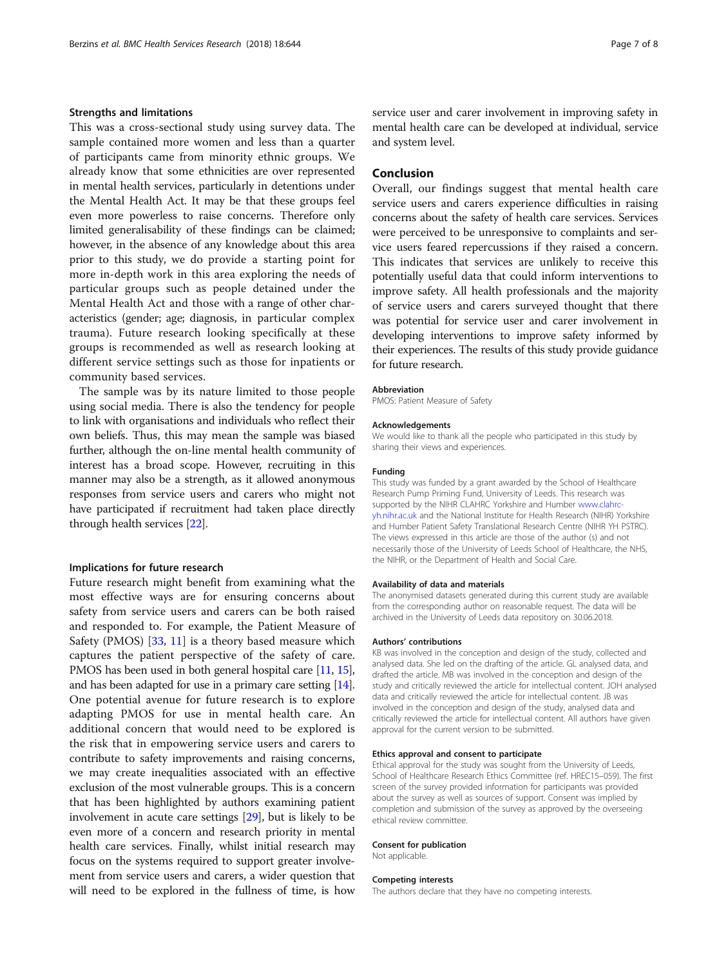## Strengths and limitations

This was a cross-sectional study using survey data. The sample contained more women and less than a quarter of participants came from minority ethnic groups. We already know that some ethnicities are over represented in mental health services, particularly in detentions under the Mental Health Act. It may be that these groups feel even more powerless to raise concerns. Therefore only limited generalisability of these findings can be claimed; however, in the absence of any knowledge about this area prior to this study, we do provide a starting point for more in-depth work in this area exploring the needs of particular groups such as people detained under the Mental Health Act and those with a range of other characteristics (gender; age; diagnosis, in particular complex trauma). Future research looking specifically at these groups is recommended as well as research looking at different service settings such as those for inpatients or community based services.

The sample was by its nature limited to those people using social media. There is also the tendency for people to link with organisations and individuals who reflect their own beliefs. Thus, this may mean the sample was biased further, although the on-line mental health community of interest has a broad scope. However, recruiting in this manner may also be a strength, as it allowed anonymous responses from service users and carers who might not have participated if recruitment had taken place directly through health services [\[22](#page-7-0)].

## Implications for future research

Future research might benefit from examining what the most effective ways are for ensuring concerns about safety from service users and carers can be both raised and responded to. For example, the Patient Measure of Safety (PMOS) [\[33](#page-7-0), [11](#page-7-0)] is a theory based measure which captures the patient perspective of the safety of care. PMOS has been used in both general hospital care [[11](#page-7-0), [15](#page-7-0)], and has been adapted for use in a primary care setting [\[14](#page-7-0)]. One potential avenue for future research is to explore adapting PMOS for use in mental health care. An additional concern that would need to be explored is the risk that in empowering service users and carers to contribute to safety improvements and raising concerns, we may create inequalities associated with an effective exclusion of the most vulnerable groups. This is a concern that has been highlighted by authors examining patient involvement in acute care settings [\[29](#page-7-0)], but is likely to be even more of a concern and research priority in mental health care services. Finally, whilst initial research may focus on the systems required to support greater involvement from service users and carers, a wider question that will need to be explored in the fullness of time, is how

service user and carer involvement in improving safety in mental health care can be developed at individual, service and system level.

## Conclusion

Overall, our findings suggest that mental health care service users and carers experience difficulties in raising concerns about the safety of health care services. Services were perceived to be unresponsive to complaints and service users feared repercussions if they raised a concern. This indicates that services are unlikely to receive this potentially useful data that could inform interventions to improve safety. All health professionals and the majority of service users and carers surveyed thought that there was potential for service user and carer involvement in developing interventions to improve safety informed by their experiences. The results of this study provide guidance for future research.

#### Abbreviation

PMOS: Patient Measure of Safety

## Acknowledgements

We would like to thank all the people who participated in this study by sharing their views and experiences.

#### Funding

This study was funded by a grant awarded by the School of Healthcare Research Pump Priming Fund, University of Leeds. This research was supported by the NIHR CLAHRC Yorkshire and Humber [www.clahrc](http://www.clahrc-yh.nihr.ac.uk)[yh.nihr.ac.uk](http://www.clahrc-yh.nihr.ac.uk) and the National Institute for Health Research (NIHR) Yorkshire and Humber Patient Safety Translational Research Centre (NIHR YH PSTRC). The views expressed in this article are those of the author (s) and not necessarily those of the University of Leeds School of Healthcare, the NHS, the NIHR, or the Department of Health and Social Care.

#### Availability of data and materials

The anonymised datasets generated during this current study are available from the corresponding author on reasonable request. The data will be archived in the University of Leeds data repository on 30.06.2018.

#### Authors' contributions

KB was involved in the conception and design of the study, collected and analysed data. She led on the drafting of the article. GL analysed data, and drafted the article. MB was involved in the conception and design of the study and critically reviewed the article for intellectual content. JOH analysed data and critically reviewed the article for intellectual content. JB was involved in the conception and design of the study, analysed data and critically reviewed the article for intellectual content. All authors have given approval for the current version to be submitted.

#### Ethics approval and consent to participate

Ethical approval for the study was sought from the University of Leeds, School of Healthcare Research Ethics Committee (ref. HREC15–059). The first screen of the survey provided information for participants was provided about the survey as well as sources of support. Consent was implied by completion and submission of the survey as approved by the overseeing ethical review committee.

### Consent for publication

Not applicable.

#### Competing interests

The authors declare that they have no competing interests.